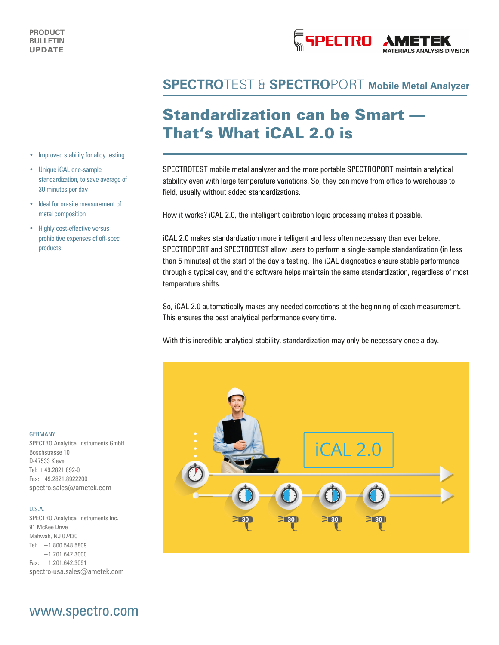

### **SPECTRO**TEST & **SPECTRO**PORT **Mobile Metal Analyzer**

## Standardization can be Smart — That's What iCAL 2.0 is

SPECTROTEST mobile metal analyzer and the more portable SPECTROPORT maintain analytical stability even with large temperature variations. So, they can move from office to warehouse to field, usually without added standardizations.

How it works? iCAL 2.0, the intelligent calibration logic processing makes it possible.

iCAL 2.0 makes standardization more intelligent and less often necessary than ever before. SPECTROPORT and SPECTROTEST allow users to perform a single-sample standardization (in less than 5 minutes) at the start of the day's testing. The iCAL diagnostics ensure stable performance through a typical day, and the software helps maintain the same standardization, regardless of most temperature shifts.

So, iCAL 2.0 automatically makes any needed corrections at the beginning of each measurement. This ensures the best analytical performance every time.

With this incredible analytical stability, standardization may only be necessary once a day.



#### • Improved stability for alloy testing

- Unique iCAL one-sample standardization, to save average of 30 minutes per day
- Ideal for on-site measurement of metal composition
- Highly cost-effective versus prohibitive expenses of off-spec products

#### GERMANY

SPECTRO Analytical Instruments GmbH Boschstrasse 10 D-47533 Kleve Tel: +49.2821.892-0 Fax:+49.2821.8922200 spectro.sales@ametek.com

#### U.S.A.

SPECTRO Analytical Instruments Inc. 91 McKee Drive Mahwah, NJ 07430  $Tel: +1.800.548.5809$ +1.201.642.3000 Fax: +1.201.642.3091 spectro-usa.sales@ametek.com

### www.spectro.com